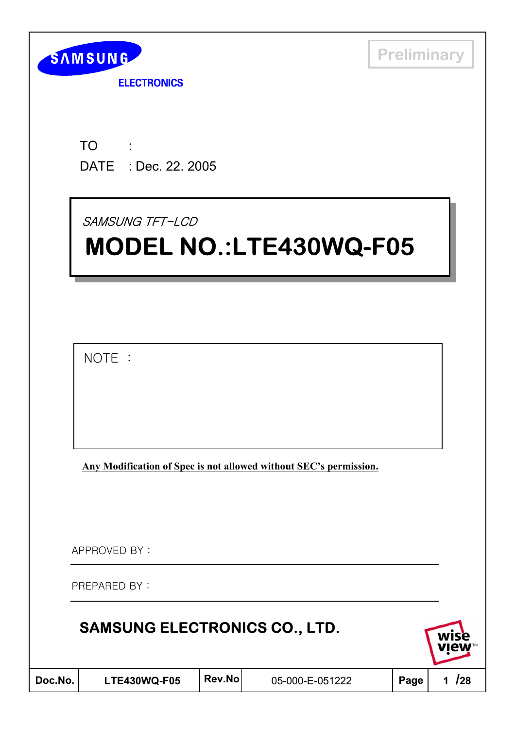

**ELECTRONICS** 

TO : DATE : Dec. 22. 2005

SAMSUNG TFT-LCD

# **MODEL NO.:LTE430WQ-F05 MODEL NO.:LTE430WQ-F05**

 $NOTE:$ 

**Any Modification of Spec is not allowed without SEC's permission.**

APPROVED BY:

PREPARED BY:

| <b>SAMSUNG ELECTRONICS CO., LTD.</b> |  |
|--------------------------------------|--|
|--------------------------------------|--|



| )oc.No. |  |
|---------|--|
|         |  |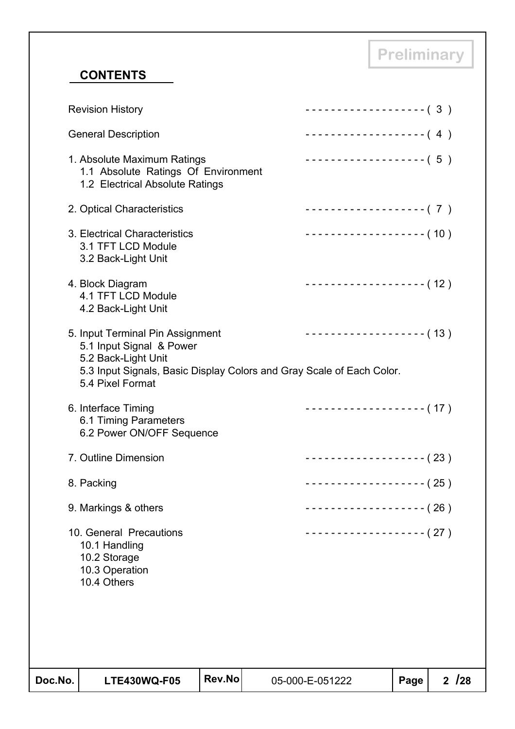## **CONTENTS**

| Doc.No. | <b>LTE430WQ-F05</b>                                                                                                                                                              | Rev.No | 05-000-E-051222           | Page | 2/28 |
|---------|----------------------------------------------------------------------------------------------------------------------------------------------------------------------------------|--------|---------------------------|------|------|
|         |                                                                                                                                                                                  |        |                           |      |      |
|         | 10. General Precautions<br>10.1 Handling<br>10.2 Storage<br>10.3 Operation<br>10.4 Others                                                                                        |        | ------------------- (27 ) |      |      |
|         | 9. Markings & others                                                                                                                                                             |        | ------------------- (26)  |      |      |
|         | 8. Packing                                                                                                                                                                       |        | ------------------- (25)  |      |      |
|         | 7. Outline Dimension                                                                                                                                                             |        | $------------(23)$        |      |      |
|         | 6. Interface Timing<br>6.1 Timing Parameters<br>6.2 Power ON/OFF Sequence                                                                                                        |        | ------------------- (17)  |      |      |
|         | 5. Input Terminal Pin Assignment<br>5.1 Input Signal & Power<br>5.2 Back-Light Unit<br>5.3 Input Signals, Basic Display Colors and Gray Scale of Each Color.<br>5.4 Pixel Format |        | ------------------- (13)  |      |      |
|         | 4. Block Diagram<br>4.1 TFT LCD Module<br>4.2 Back-Light Unit                                                                                                                    |        | ------------------- (12)  |      |      |
|         | 3. Electrical Characteristics<br>3.1 TFT LCD Module<br>3.2 Back-Light Unit                                                                                                       |        | ------------------- (10)  |      |      |
|         | 2. Optical Characteristics                                                                                                                                                       |        | ------------------- (7)   |      |      |
|         | 1. Absolute Maximum Ratings<br>1.1 Absolute Ratings Of Environment<br>1.2 Electrical Absolute Ratings                                                                            |        | ------------------- (5)   |      |      |
|         | <b>General Description</b>                                                                                                                                                       |        | --------------------- (4) |      |      |
|         | <b>Revision History</b>                                                                                                                                                          |        | ------------------- (3)   |      |      |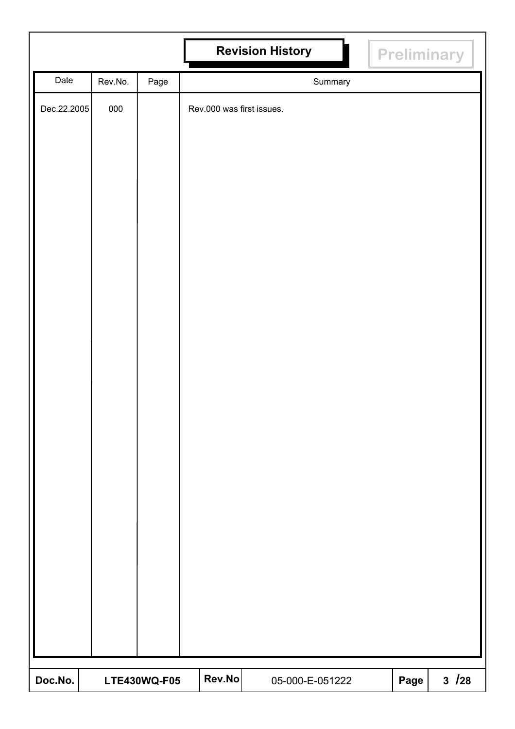|             |         |              |                           | <b>Revision History</b> |      | Preliminary |
|-------------|---------|--------------|---------------------------|-------------------------|------|-------------|
| Date        | Rev.No. | Page         |                           | Summary                 |      |             |
| Dec.22.2005 | 000     |              | Rev.000 was first issues. |                         |      |             |
|             |         |              |                           |                         |      |             |
|             |         |              |                           |                         |      |             |
|             |         |              |                           |                         |      |             |
|             |         |              |                           |                         |      |             |
|             |         |              |                           |                         |      |             |
|             |         |              |                           |                         |      |             |
|             |         |              |                           |                         |      |             |
|             |         |              |                           |                         |      |             |
|             |         |              |                           |                         |      |             |
|             |         |              |                           |                         |      |             |
|             |         |              |                           |                         |      |             |
|             |         |              |                           |                         |      |             |
|             |         |              |                           |                         |      |             |
|             |         |              |                           |                         |      |             |
|             |         |              |                           |                         |      |             |
|             |         |              |                           |                         |      |             |
|             |         |              |                           |                         |      |             |
|             |         |              |                           |                         |      |             |
|             |         |              |                           |                         |      |             |
|             |         |              |                           |                         |      |             |
|             |         |              |                           |                         |      |             |
|             |         |              |                           |                         |      |             |
|             |         |              |                           |                         |      |             |
|             |         |              |                           |                         |      |             |
| Doc.No.     |         | LTE430WQ-F05 | Rev.No                    | 05-000-E-051222         | Page | $3 / 28$    |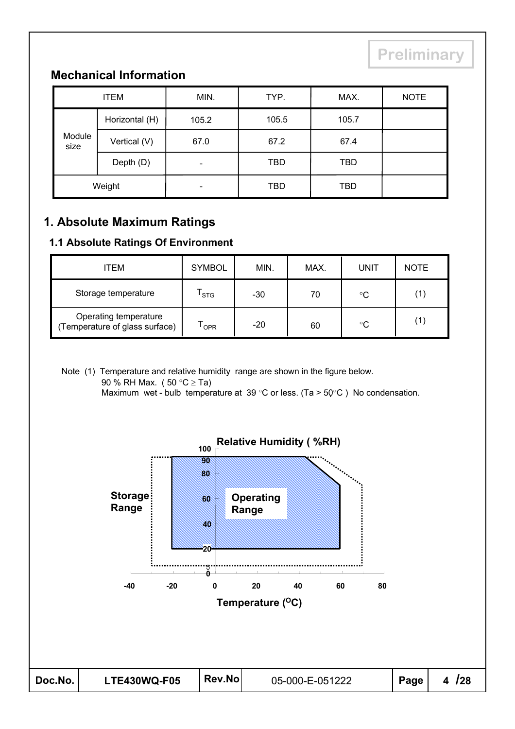# **Mechanical Information**

| <b>ITEM</b>    |                | MIN.                     | TYP.       | MAX.  | <b>NOTE</b> |
|----------------|----------------|--------------------------|------------|-------|-------------|
| Module<br>size | Horizontal (H) | 105.2                    | 105.5      | 105.7 |             |
|                | Vertical (V)   | 67.0                     | 67.2       | 67.4  |             |
|                | Depth (D)      | -                        | <b>TBD</b> | TBD   |             |
| Weight         |                | $\overline{\phantom{0}}$ | <b>TBD</b> | TBD   |             |

## **1. Absolute Maximum Ratings**

#### **1.1 Absolute Ratings Of Environment**

| ITEM                                                    | <b>SYMBOL</b> | MIN.  | MAX. | UNIT | <b>NOTE</b> |
|---------------------------------------------------------|---------------|-------|------|------|-------------|
| Storage temperature                                     | <b>STG</b>    | $-30$ | 70   | °C   |             |
| Operating temperature<br>(Temperature of glass surface) | OPR           | $-20$ | 60   | °C   |             |

Note (1) Temperature and relative humidity range are shown in the figure below. 90 % RH Max. ( $50 °C \geq Ta$ ) Maximum wet - bulb temperature at 39 °C or less. (Ta >  $50^{\circ}$ C) No condensation.

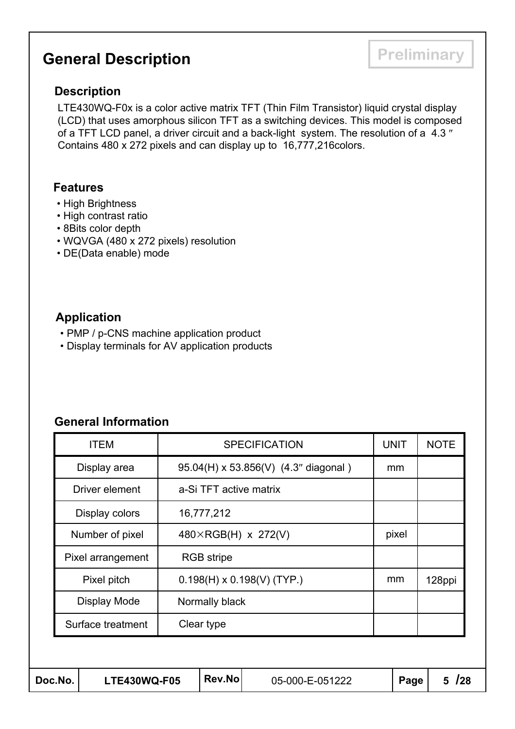# **General Description Preliminary**

#### **Description**

LTE430WQ-F0x is a color active matrix TFT (Thin Film Transistor) liquid crystal display (LCD) that uses amorphous silicon TFT as a switching devices. This model is composed of a TFT LCD panel, a driver circuit and a back-light system. The resolution of a 4.3" Contains 480 x 272 pixels and can display up to 16,777,216colors.

#### **Features**

- High Brightness
- High contrast ratio
- 8Bits color depth
- WQVGA (480 x 272 pixels) resolution
- DE(Data enable) mode

#### **Application**

- PMP / p-CNS machine application product
- Display terminals for AV application products

#### **General Information**

| Doc.No.<br><b>LTE430WQ-F05</b>                   |                   |  | Rev.No                 | 05-000-E-051222                      |        | Page        | 128<br>5    |
|--------------------------------------------------|-------------------|--|------------------------|--------------------------------------|--------|-------------|-------------|
|                                                  |                   |  |                        |                                      |        |             |             |
| Clear type<br>Surface treatment                  |                   |  |                        |                                      |        |             |             |
|                                                  | Display Mode      |  | Normally black         |                                      |        |             |             |
| $0.198(H) \times 0.198(V)$ (TYP.)<br>Pixel pitch |                   |  |                        | mm                                   | 128ppi |             |             |
|                                                  | Pixel arrangement |  | <b>RGB</b> stripe      |                                      |        |             |             |
|                                                  | Number of pixel   |  |                        | 480×RGB(H) x 272(V)                  |        | pixel       |             |
|                                                  | Display colors    |  | 16,777,212             |                                      |        |             |             |
|                                                  | Driver element    |  | a-Si TFT active matrix |                                      |        |             |             |
|                                                  | Display area      |  |                        | 95.04(H) x 53.856(V) (4.3" diagonal) |        | mm          |             |
|                                                  | <b>ITEM</b>       |  |                        | <b>SPECIFICATION</b>                 |        | <b>UNIT</b> | <b>NOTE</b> |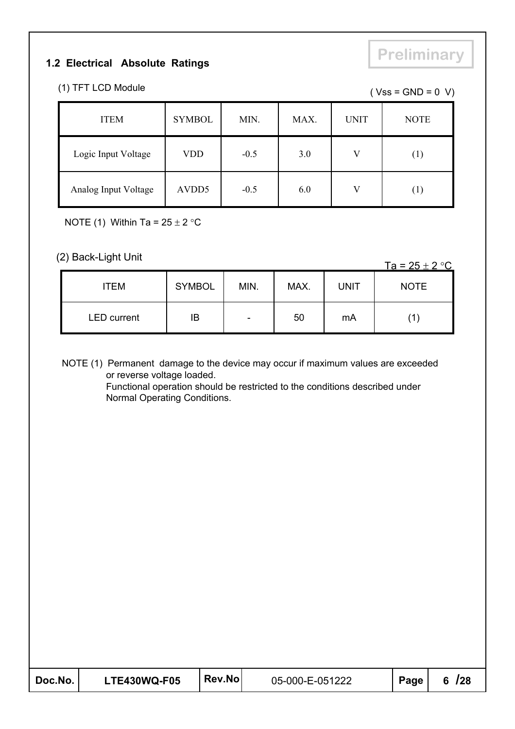#### **1.2 Electrical Absolute Ratings**

# **Preliminary**

| (1) TFT LCD Module | $(Vss = GND = 0 V)$ |
|--------------------|---------------------|
|                    |                     |

| <b>ITEM</b>          | <b>SYMBOL</b>     | MIN.   | MAX. | <b>UNIT</b>  | <b>NOTE</b>       |
|----------------------|-------------------|--------|------|--------------|-------------------|
| Logic Input Voltage  | VDD               | $-0.5$ | 3.0  | $\mathbf{V}$ | $\left( 1\right)$ |
| Analog Input Voltage | AVDD <sub>5</sub> | $-0.5$ | 6.0  | V            | $\left( 1\right)$ |

NOTE (1) Within Ta =  $25 \pm 2$  °C

# (2) Back-Light Unit Ta =  $25 \pm 2$  °C

| <b>ITEM</b>        | <b>SYMBOL</b> | MIN. | MAX. | <b>UNIT</b> | <b>NOTE</b> |
|--------------------|---------------|------|------|-------------|-------------|
| <b>LED</b> current | ΙB            | -    | 50   | mA          |             |

NOTE (1) Permanent damage to the device may occur if maximum values are exceeded or reverse voltage loaded. Functional operation should be restricted to the conditions described under

Normal Operating Conditions.

| Doc.No. | <b>LTE430WQ-F05</b> | <b>Rev.Nol</b> | 05-000-E-051222 | Page | 6/28 |
|---------|---------------------|----------------|-----------------|------|------|
|---------|---------------------|----------------|-----------------|------|------|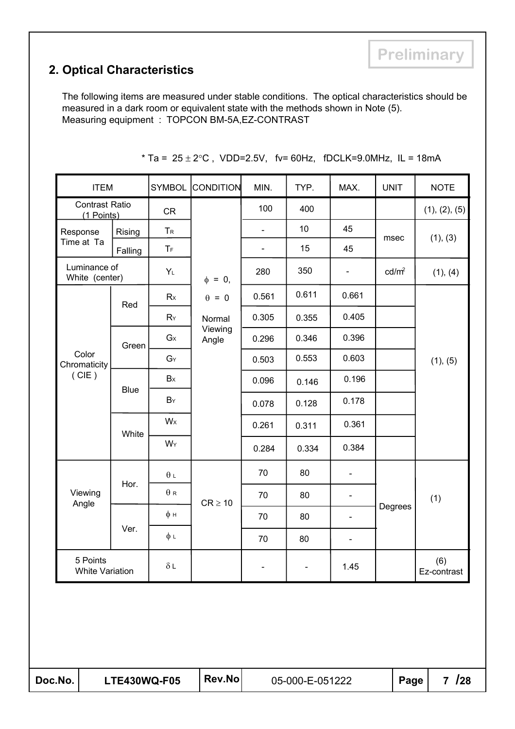## **2. Optical Characteristics**

The following items are measured under stable conditions. The optical characteristics should be measured in a dark room or equivalent state with the methods shown in Note (5). Measuring equipment : TOPCON BM-5A,EZ-CONTRAST

| <b>ITEM</b>                         |             | <b>SYMBOL</b>              | <b>CONDITION</b> | MIN.           | TYP.  | MAX.                     | <b>UNIT</b>       | <b>NOTE</b>          |
|-------------------------------------|-------------|----------------------------|------------------|----------------|-------|--------------------------|-------------------|----------------------|
| <b>Contrast Ratio</b><br>(1 Points) |             | <b>CR</b>                  |                  | 100            | 400   |                          |                   | (1), (2), (5)        |
| Response                            | Rising      | $T_R$                      |                  |                | 10    | 45                       | msec              | (1), (3)             |
| Time at Ta                          | Falling     | $T_F$                      |                  | $\blacksquare$ | 15    | 45                       |                   |                      |
| Luminance of<br>White (center)      |             | $Y_L$                      | $\phi = 0,$      | 280            | 350   | $\blacksquare$           | cd/m <sup>2</sup> | (1), (4)             |
|                                     | Red         | Rx                         | $\theta = 0$     | 0.561          | 0.611 | 0.661                    |                   |                      |
|                                     |             | RY                         | Normal           | 0.305          | 0.355 | 0.405                    |                   |                      |
|                                     | Green       | $G_X$                      | Viewing<br>Angle | 0.296          | 0.346 | 0.396                    |                   |                      |
| Color<br>Chromaticity               |             | $G_Y$                      |                  | 0.503          | 0.553 | 0.603                    |                   | (1), (5)             |
| (CIE)                               | <b>Blue</b> | Bx                         |                  | 0.096          | 0.146 | 0.196                    |                   |                      |
|                                     |             | BY                         |                  | 0.078          | 0.128 | 0.178                    |                   |                      |
|                                     | White       | W <sub>x</sub>             |                  | 0.261          | 0.311 | 0.361                    |                   |                      |
|                                     |             | $W_Y$                      |                  | 0.284          | 0.334 | 0.384                    |                   |                      |
|                                     |             | $\theta$ $\llap{\text{1}}$ |                  | 70             | 80    | $\overline{\phantom{0}}$ |                   |                      |
| Viewing<br>Angle                    | Hor.        | $\theta$ R                 | $CR \geq 10$     | 70             | 80    | $\overline{\phantom{a}}$ |                   | (1)                  |
|                                     |             | $\phi$ H                   |                  | 70             | 80    | $\overline{\phantom{a}}$ | Degrees           |                      |
|                                     | Ver.        | $\phi$ L                   |                  | 70             | 80    | $\blacksquare$           |                   |                      |
| 5 Points<br><b>White Variation</b>  |             | $\delta$ L                 |                  |                |       | 1.45                     |                   | $(6)$<br>Ez-contrast |
|                                     |             |                            |                  |                |       |                          |                   |                      |

\* Ta =  $25 \pm 2$ °C, VDD=2.5V, fv= 60Hz, fDCLK=9.0MHz, IL = 18mA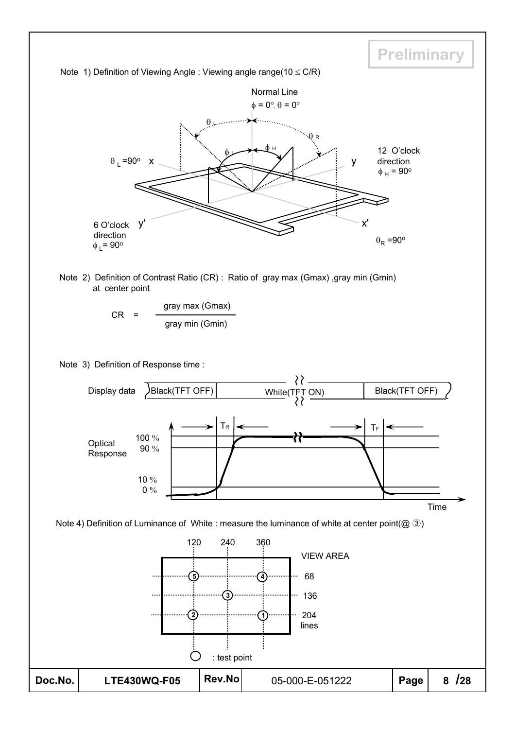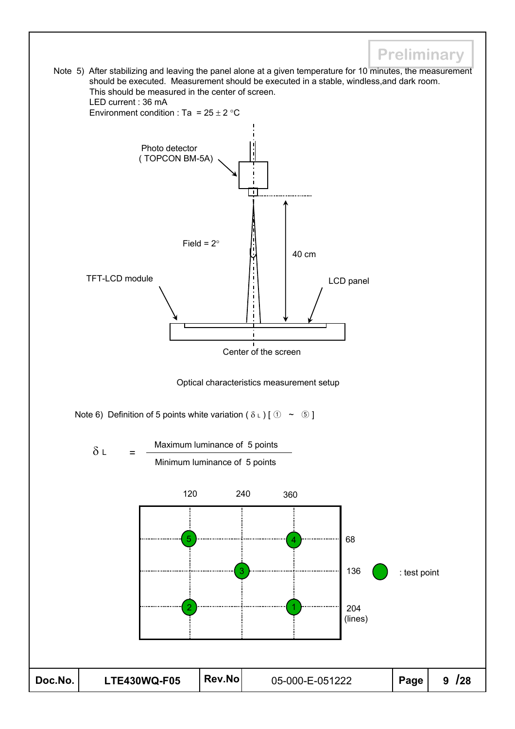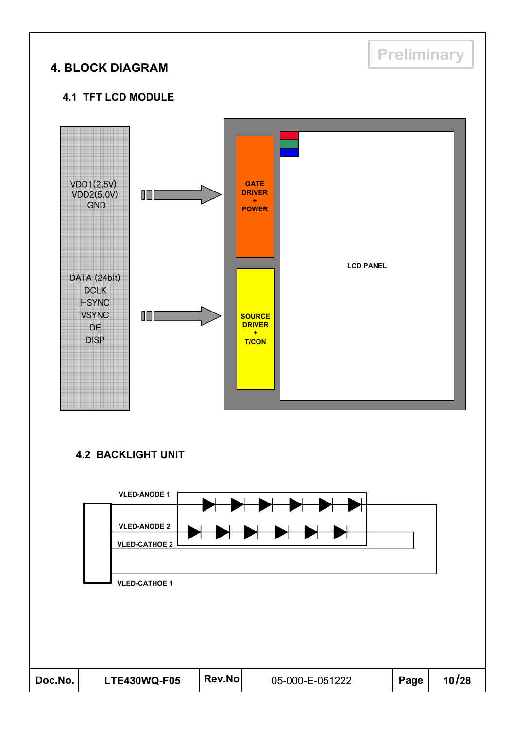# **Preliminary 4. BLOCK DIAGRAM 4.1 TFT LCD MODULE**  $VDD1(2.5V)$ **GATE**  $VDD2(5.0V)$ **DRIVER** 顶 **+** GND **POWER LCD PANEL**DATA (24bit) DCLK HSYNC **VSYNC** I D E L **SOURCE DRIVER** DE **+** DISP **T/CON**

#### **4.2 BACKLIGHT UNIT**

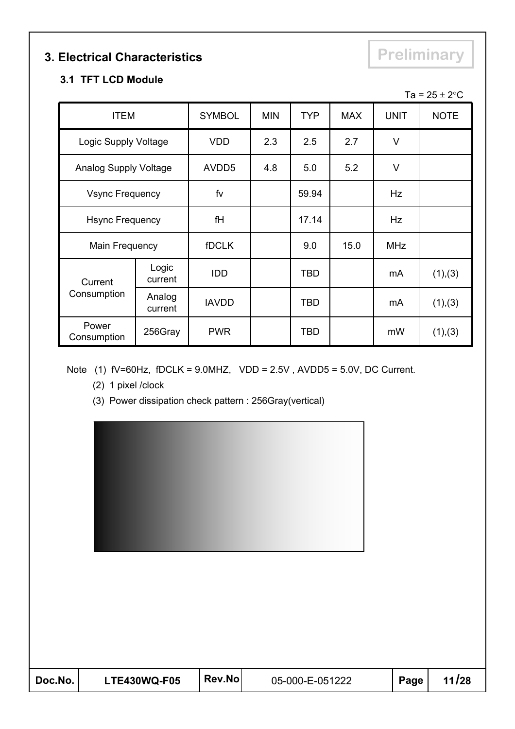# **3. Electrical Characteristics Preliminary**

#### **3.1 TFT LCD Module**

|                        |                   |                   |            |            |            |             | Ta = $25 \pm 2^{\circ}$ C |
|------------------------|-------------------|-------------------|------------|------------|------------|-------------|---------------------------|
| <b>ITEM</b>            |                   | <b>SYMBOL</b>     | <b>MIN</b> | <b>TYP</b> | <b>MAX</b> | <b>UNIT</b> | <b>NOTE</b>               |
| Logic Supply Voltage   |                   | <b>VDD</b>        | 2.3        | 2.5        | 2.7        | V           |                           |
| Analog Supply Voltage  |                   | AVDD <sub>5</sub> | 4.8        | 5.0        | 5.2        | V           |                           |
| <b>Vsync Frequency</b> |                   | fv                |            | 59.94      |            | Hz          |                           |
| <b>Hsync Frequency</b> |                   | fH                |            | 17.14      |            | Hz          |                           |
| Main Frequency         |                   | <b>fDCLK</b>      |            | 9.0        | 15.0       | <b>MHz</b>  |                           |
| Current                | Logic<br>current  | <b>IDD</b>        |            | TBD        |            | mA          | (1), (3)                  |
| Consumption            | Analog<br>current | <b>IAVDD</b>      |            | <b>TBD</b> |            | mA          | (1), (3)                  |
| Power<br>Consumption   | 256Gray           | <b>PWR</b>        |            | <b>TBD</b> |            | mW          | (1), (3)                  |

Note (1) fV=60Hz, fDCLK = 9.0MHZ, VDD = 2.5V , AVDD5 = 5.0V, DC Current.

- (2) 1 pixel /clock
- (3) Power dissipation check pattern : 256Gray(vertical)

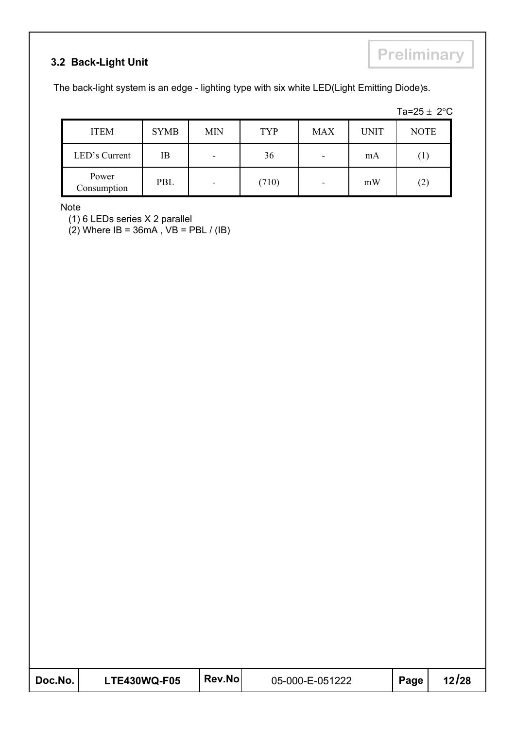#### **3.2 Back-Light Unit**

The back-light system is an edge - lighting type with six white LED(Light Emitting Diode)s.

| Та=25. |  | າ∘∩ |  |
|--------|--|-----|--|
|        |  |     |  |

| <b>ITEM</b>          | <b>SYMB</b> | <b>MIN</b>               | TYP   | <b>MAX</b> | <b>UNIT</b> | <b>NOTE</b> |
|----------------------|-------------|--------------------------|-------|------------|-------------|-------------|
| LED's Current        | ΙB          | -                        | 36    | ۰          | mA          | $\perp$     |
| Power<br>Consumption | PBL         | $\overline{\phantom{0}}$ | (710) | -          | mW          | $\angle$    |

Note

(1) 6 LEDs series X 2 parallel

 $(2)$  Where IB = 36mA, VB = PBL / (IB)

| Doc.No. | <b>LTE430WQ-F05</b> | Rev.No | 05-000-E-051222 | Page | 12/28 |
|---------|---------------------|--------|-----------------|------|-------|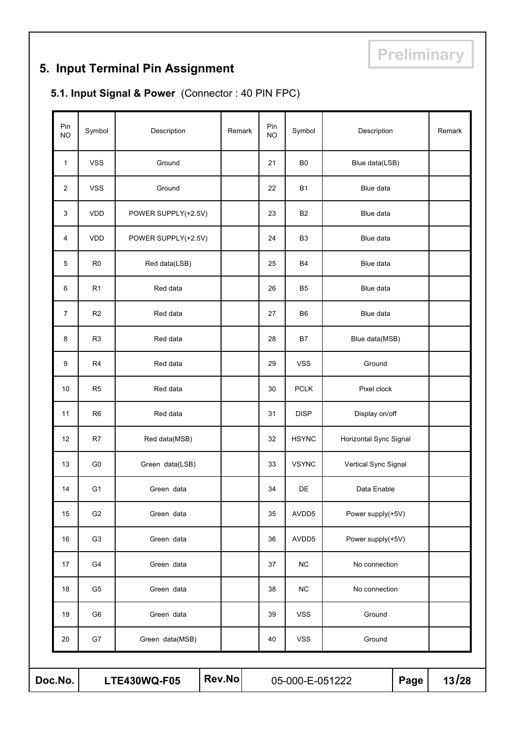# **5. Input Terminal Pin Assignment**

# **5.1. Input Signal & Power** (Connector : 40 PIN FPC)

| Rev.No<br>Doc.No.<br><b>LTE430WQ-F05</b> |                |                     |        |                  | 05-000-E-051222 |                        | Page | 13/28  |  |  |  |  |
|------------------------------------------|----------------|---------------------|--------|------------------|-----------------|------------------------|------|--------|--|--|--|--|
| 20                                       | G7             | Green data(MSB)     |        | 40               | <b>VSS</b>      | Ground                 |      |        |  |  |  |  |
| 19                                       | G <sub>6</sub> | Green data          |        | 39               | <b>VSS</b>      | Ground                 |      |        |  |  |  |  |
| 18                                       | G <sub>5</sub> | Green data          |        | 38               | <b>NC</b>       | No connection          |      |        |  |  |  |  |
| 17                                       | G4             | Green data          |        | 37               | <b>NC</b>       | No connection          |      |        |  |  |  |  |
| 16                                       | G <sub>3</sub> | Green data          |        | 36               | AVDD5           | Power supply(+5V)      |      |        |  |  |  |  |
| 15                                       | G <sub>2</sub> | Green data          |        | 35               | AVDD5           | Power supply(+5V)      |      |        |  |  |  |  |
| 14                                       | G <sub>1</sub> | Green data          |        | 34               | DE              | Data Enable            |      |        |  |  |  |  |
| 13                                       | G <sub>0</sub> | Green data(LSB)     |        | 33               | <b>VSYNC</b>    | Vertical Sync Signal   |      |        |  |  |  |  |
| 12                                       | R7             | Red data(MSB)       |        | 32               | <b>HSYNC</b>    | Horizontal Sync Signal |      |        |  |  |  |  |
| 11                                       | R <sub>6</sub> | Red data            |        | 31               | <b>DISP</b>     | Display on/off         |      |        |  |  |  |  |
| 10                                       | R <sub>5</sub> | Red data            |        | 30               | <b>PCLK</b>     | Pixel clock            |      |        |  |  |  |  |
| 9                                        | R <sub>4</sub> | Red data            |        | 29               | <b>VSS</b>      | Ground                 |      |        |  |  |  |  |
| 8                                        | R <sub>3</sub> | Red data            |        | 28               | B7              | Blue data(MSB)         |      |        |  |  |  |  |
| $\overline{7}$                           | R <sub>2</sub> | Red data            |        | 27               | B <sub>6</sub>  | Blue data              |      |        |  |  |  |  |
| 6                                        | R <sub>1</sub> | Red data            |        | 26               | B <sub>5</sub>  | Blue data              |      |        |  |  |  |  |
| 5                                        | R <sub>0</sub> | Red data(LSB)       |        | 25               | B <sub>4</sub>  | Blue data              |      |        |  |  |  |  |
| 4                                        | <b>VDD</b>     | POWER SUPPLY(+2.5V) |        | 24               | B <sub>3</sub>  | Blue data              |      |        |  |  |  |  |
| 3                                        | <b>VDD</b>     | POWER SUPPLY(+2.5V) |        | 23               | B <sub>2</sub>  | Blue data              |      |        |  |  |  |  |
| 2                                        | <b>VSS</b>     | Ground              |        | 22               | <b>B1</b>       | Blue data              |      |        |  |  |  |  |
| $\mathbf{1}$                             | <b>VSS</b>     | Ground              |        | 21               | B <sub>0</sub>  | Blue data(LSB)         |      |        |  |  |  |  |
| Pin<br><b>NO</b>                         | Symbol         | Description         | Remark | Pin<br><b>NO</b> | Symbol          | Description            |      | Remark |  |  |  |  |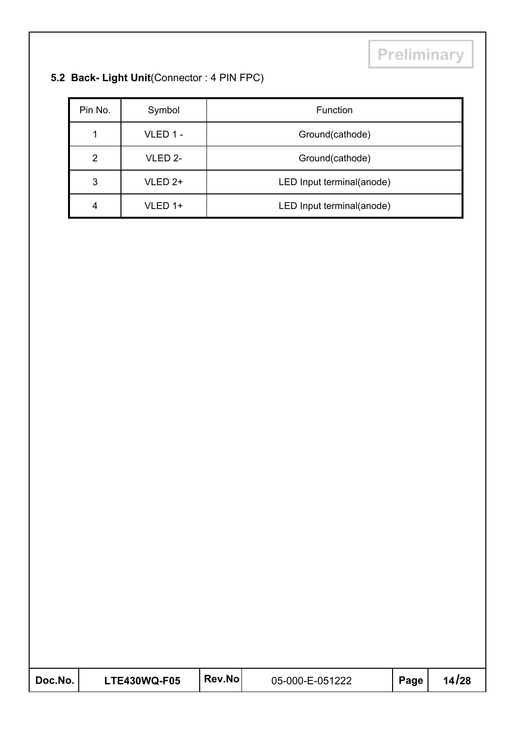# **5.2 Back- Light Unit**(Connector : 4 PIN FPC)

| Pin No. | Symbol             | Function                  |
|---------|--------------------|---------------------------|
| 1       | VLED 1 -           | Ground(cathode)           |
| 2       | VLED 2-            | Ground(cathode)           |
| 3       | VLED <sub>2+</sub> | LED Input terminal(anode) |
| 4       | VLED 1+            | LED Input terminal(anode) |

| Doc.No. | <b>LTE430WQ-F05</b> | <b>Rev.Nol</b> | 05-000-E-051222 | Page | 14/28 |
|---------|---------------------|----------------|-----------------|------|-------|
|---------|---------------------|----------------|-----------------|------|-------|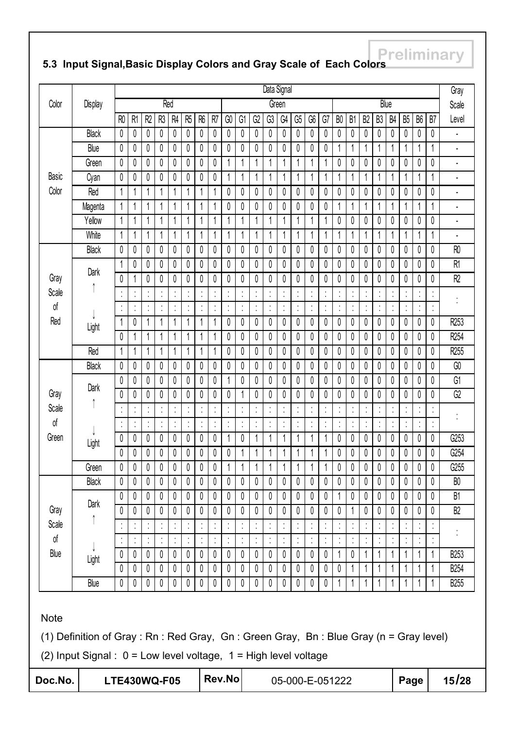# **Freliminary 5.3 Input Signal,Basic Display Colors and Gray Scale of Each Colors**

|              |                                                                                                                                                              |                      |                |                |                           |                |                |                |                |                |             |                         | Data Signal  |              |                      |                |              |                      |                |                |                |                |                |                |                      | Gray            |
|--------------|--------------------------------------------------------------------------------------------------------------------------------------------------------------|----------------------|----------------|----------------|---------------------------|----------------|----------------|----------------|----------------|----------------|-------------|-------------------------|--------------|--------------|----------------------|----------------|--------------|----------------------|----------------|----------------|----------------|----------------|----------------|----------------|----------------------|-----------------|
| Color        | Display                                                                                                                                                      |                      |                |                |                           | Red            |                |                |                |                |             |                         |              | Green        |                      |                |              |                      |                |                | Blue           |                |                |                |                      | Scale           |
|              |                                                                                                                                                              | R <sub>0</sub>       | R <sub>1</sub> | R <sub>2</sub> | R3                        | R <sub>4</sub> | R <sub>5</sub> | R <sub>6</sub> | R <sub>7</sub> | GO             | G1          | G2                      | G3           | G4           | G5                   | G6             | G7           | B <sub>0</sub>       | B <sub>1</sub> | B <sub>2</sub> | B <sub>3</sub> | B <sub>4</sub> | B <sub>5</sub> | B <sub>6</sub> | B7                   | Level           |
|              | <b>Black</b>                                                                                                                                                 | 0                    | 0              | 0              | 0                         | 0              | 0              | 0              | 0              | 0              | 0           | 0                       | 0            | 0            | 0                    | 0              | 0            | 0                    | 0              | 0              | 0              | 0              | 0              | 0              | 0                    |                 |
|              | Blue                                                                                                                                                         | 0                    | 0              | 0              | 0                         | 0              | 0              | 0              | 0              | 0              | 0           | 0                       | 0            | 0            | 0                    | 0              | 0            | 1                    | 1              | 1              | 1              | 1              |                |                | 1                    |                 |
|              | Green                                                                                                                                                        | 0                    | 0              | 0              | 0                         | 0              | 0              | 0              | 0              |                |             | 1                       |              | 1            |                      |                | 1            | 0                    | 0              | 0              | 0              | 0              | 0              | 0              | 0                    |                 |
| <b>Basic</b> | Cyan                                                                                                                                                         | 0                    | 0              | 0              | 0                         | 0              | 0              | 0              | 0              |                |             | 1                       |              | 1            | 1                    |                | 1            | 1                    |                | 1              | 1              | 1              |                |                | 1                    |                 |
| Color        | Red                                                                                                                                                          | 1                    |                | 1              | 1                         | 1              | 1              | 1              | 1              | 0              | 0           | 0                       | 0            | 0            | 0                    | 0              | 0            | 0                    | 0              | 0              | 0              | 0              | 0              | 0              | 0                    |                 |
|              | Magenta                                                                                                                                                      | 1                    |                | 1              | 1                         | 1              | 1              | 1              | 1              | 0              | 0           | 0                       | 0            | 0            | 0                    | 0              | 0            | 1                    | 1              | 1              | 1              | 1              | 1              | 1              | 1                    | ٠               |
|              | Yellow                                                                                                                                                       | 1                    |                | 1              | 1                         | 1              | 1              | 1              | 1              |                | 1           | 1                       |              | 1            | 1                    | 1              | 1            | 0                    | 0              | 0              | 0              | 0              | 0              | 0              | 0                    |                 |
|              | White                                                                                                                                                        | 1                    |                | 1              | 1                         | 1              | 1              | 1              | 1              |                |             | 1                       |              | 1            |                      |                | 1            | 1                    | 1              | 1              |                |                | 1              |                | 1                    |                 |
|              | Black                                                                                                                                                        | 0                    | 0              | 0              | $\mathbf{0}$              | 0              | 0              | 0              | 0              | 0              | 0           | 0                       | 0            | 0            | 0                    | 0              | 0            | $\pmb{0}$            | 0              | 0              | 0              | 0              | 0              | 0              | 0                    | R <sub>0</sub>  |
|              | Dark                                                                                                                                                         | 1                    | 0              | 0              | 0                         | 0              | 0              | 0              | 0              | 0              | 0           | $\pmb{0}$               | 0            | 0            | 0                    | 0              | 0            | $\pmb{0}$            | 0              | 0              | 0              | 0              | 0              | 0              | 0                    | R <sub>1</sub>  |
| Gray         |                                                                                                                                                              | 0                    | 1              | 0              | 0                         | 0              | 0              | 0              | 0              | 0              | 0           | 0                       | 0            | 0            | 0                    | 0              | 0            | 0                    | 0              | 0              | 0              | 0              | 0              | 0              | 0                    | R2              |
| Scale        |                                                                                                                                                              | $\cdot$              | ٠              | $\cdot$        | $\ddot{\phantom{a}}$      | $\cdot$        | $\cdot$        |                | t              | $\blacksquare$ | $\cdot$     | t                       | $\cdot$      | t            | $\ddot{\phantom{a}}$ | $\blacksquare$ | $\cdot$      | $\ddot{\phantom{a}}$ |                | $\cdot$<br>í,  | ţ              | ţ              | ×              | ٠              | $\cdot$<br>÷,        |                 |
| of           |                                                                                                                                                              | Ì,                   |                |                | $\cdot$<br>k,             | ٠              |                |                | ţ              |                |             | t                       | ٠            | ٠            | ţ                    |                | ٠            | $\ddot{\cdot}$       | ٠              | ٠              |                | Í              |                |                | ×,<br>$\blacksquare$ |                 |
| Red          | Light                                                                                                                                                        | $\mathbf 1$          | 0              |                | 1                         | 1              | 1              | 1              | 1              | 0              | 0           | 0                       | 0            | 0            | 0                    | 0              | 0            | 0                    | 0              | 0              | 0              | 0              | 0              | 0              | 0                    | R253            |
|              |                                                                                                                                                              | 0                    |                |                | 1                         | 1              | 1              | 1              | 1              | 0              | 0           | 0                       | 0            | 0            | 0                    | 0              | 0            | 0                    | 0              | 0              | 0              | 0              | 0              | 0              | 0                    | R254            |
|              | Red                                                                                                                                                          | 1                    |                | 1              | 1                         | 1              | 1              | 1              | 1              | 0              | 0           | 0                       | 0            | 0            | 0                    | 0              | 0            | 0                    | 0              | 0              | 0              | 0              | 0              | 0              | 0                    | R255            |
|              | Black                                                                                                                                                        | 0                    | 0              | 0              | 0                         | 0              | 0              | 0              | 0              | 0              | 0           | 0                       | 0            | 0            | 0                    | 0              | 0            | 0                    | 0              | 0              | 0              | 0              | 0              | 0              | 0                    | GO              |
|              | Dark                                                                                                                                                         | 0                    | 0              | 0              | 0                         | 0              | 0              | 0              | 0              |                | 0           | 0                       | 0            | 0            | 0                    | 0              | 0            | 0                    | 0              | 0              | 0              | 0              | 0              | 0              | 0                    | G1              |
| Gray         |                                                                                                                                                              | 0                    | 0              | 0              | 0                         | 0              | 0              | 0              | 0              | 0              |             | 0                       | 0            | 0            | 0                    | 0              | 0            | $\mathbf{0}$         | 0              | 0              | 0              | 0              | 0              | 0              | 0                    | $\overline{G2}$ |
| Scale        |                                                                                                                                                              |                      |                |                | $\cdot$<br>$\blacksquare$ |                |                |                |                |                |             | $\cdot$<br>$\mathbf{r}$ |              |              |                      |                |              | ٠<br>$\blacksquare$  |                | $\cdot$        | $\blacksquare$ |                |                | $\cdot$        | $\blacksquare$       |                 |
| οf           |                                                                                                                                                              | $\ddot{\phantom{a}}$ |                | ï              | ţ                         | $\cdot$        |                |                | Í              |                | ï           | $\cdot$                 | ٠            | ţ            | t                    | ٠              | $\cdot$      | $\ddot{\phantom{a}}$ |                | ţ              | ï              | Í              | ٠              | Ì              | ł,<br>$\mathbf{r}$   |                 |
| Green        | Light                                                                                                                                                        | 0                    | 0              | 0              | 0                         | 0              | 0              | 0              | 0              |                | 0           | 1                       |              | 1            | 1                    | 1              | 1            | 0                    | 0              | 0              | 0              | 0              | 0              | 0              | 0                    | G253            |
|              |                                                                                                                                                              | 0                    | 0              | 0              | 0                         | 0              | 0              | 0              | 0              | 0              |             | 1                       |              | 1            | 1                    | 1              | 1            | 0                    | 0              | 0              | 0              | 0              | 0              | 0              | 0                    | G254            |
|              | Green                                                                                                                                                        | $\pmb{0}$            | $\pmb{0}$      | $\overline{0}$ | $\pmb{0}$                 | $\pmb{0}$      | $\pmb{0}$      | $\pmb{0}$      | $\pmb{0}$      | 1              | $\mathbf 1$ | $\mathbf{1}$            | $\mathbf{1}$ | $\mathbf{1}$ | $\overline{1}$       | $\mathbf 1$    | $\mathbf{1}$ | $\pmb{0}$            | $\pmb{0}$      | $\overline{0}$ | $\pmb{0}$      | $\pmb{0}$      | $\pmb{0}$      | $\pmb{0}$      | $\overline{0}$       | G255            |
|              | Black                                                                                                                                                        | 0                    | 0              | 0              | 0                         | 0              | 0              | 0              | 0              | 0              | 0           | 0                       | 0            | 0            | 0                    | 0              | 0            | 0                    | 0              | 0              | 0              | 0              | $\mathbf 0$    | 0              | 0                    | B <sub>0</sub>  |
|              | Dark                                                                                                                                                         | 0                    | 0              | 0              | 0                         | 0              | 0              | 0              | 0              | 0              | 0           | 0                       | 0            | 0            | 0                    | 0              | 0            | 1                    | 0              | 0              | 0              | 0              | 0              | 0              | 0                    | B1              |
| Gray         |                                                                                                                                                              | 0                    | 0              | 0              | 0                         | 0              | 0              | 0              | 0              | 0              | 0           | 0                       | 0            | 0            | 0                    | 0              | 0            | 0                    |                | 0              | 0              | 0              | 0              | 0              | 0                    | B <sub>2</sub>  |
| Scale        |                                                                                                                                                              |                      |                |                |                           |                |                |                |                |                |             |                         |              |              |                      |                |              |                      |                |                |                |                |                |                |                      |                 |
| Оf           |                                                                                                                                                              |                      |                |                | ٠<br>$\epsilon$           |                |                |                | t              |                |             | Ť,                      |              |              |                      |                |              | $\ddot{\cdot}$       |                |                |                |                |                |                | ×                    |                 |
| Blue         | Light                                                                                                                                                        | 0                    | 0              | 0              | 0                         | 0              | 0              | 0              | 0              | 0              | 0           | 0                       | 0            | 0            | 0                    | 0              | 0            | 1                    | 0              | 1              | 1              | 1              | 1              | 1              | 1                    | <b>B253</b>     |
|              |                                                                                                                                                              | 0                    | 0              | 0              | 0                         | 0              | 0              | 0              | 0              | 0              | 0           | 0                       | 0            | 0            | 0                    | 0              | 0            | 0                    |                | 1              |                | 1              |                |                |                      | <b>B254</b>     |
|              | Blue                                                                                                                                                         | 0                    | 0              | 0              | 0                         | 0              | 0              | 0              | 0              | 0              | 0           | 0                       | 0            | 0            | 0                    | 0              | 0            |                      |                |                |                |                |                |                |                      | <b>B255</b>     |
| <b>Note</b>  | (1) Definition of Gray: Rn: Red Gray, Gn: Green Gray, Bn: Blue Gray (n = Gray level)<br>(2) Input Signal : $0 = Low$ level voltage, $1 = High$ level voltage |                      |                |                |                           |                |                |                |                |                |             |                         |              |              |                      |                |              |                      |                |                |                |                |                |                |                      |                 |
| Doc.No.      |                                                                                                                                                              | <b>LTE430WQ-F05</b>  |                |                |                           |                |                |                |                | Rev.No         |             |                         |              |              | 05-000-E-051222      |                |              |                      |                |                |                |                | Page           |                |                      | 15/28           |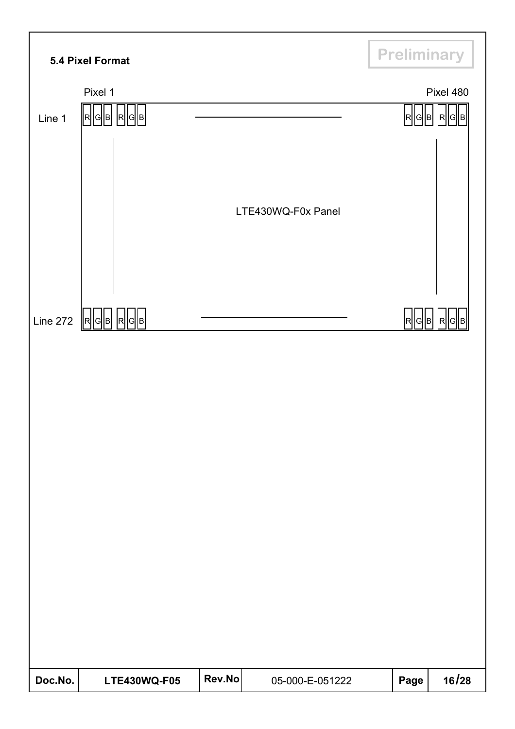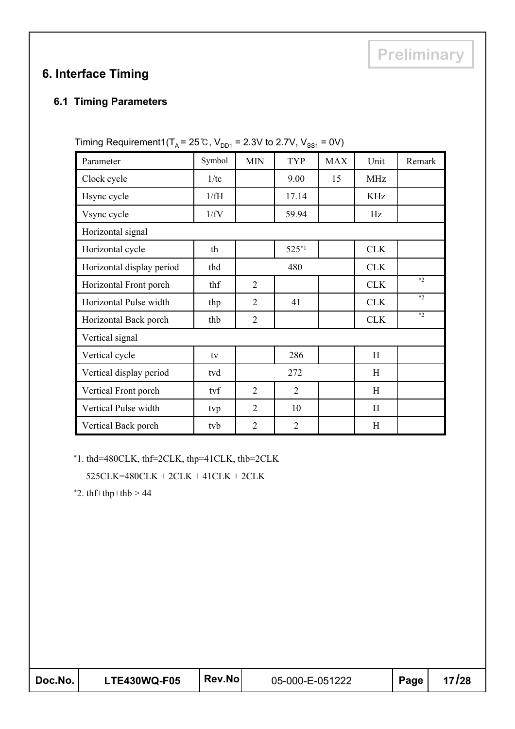# **6. Interface Timing**

#### **6.1 Timing Parameters**

| Parameter                 | Symbol | <b>MIN</b>     | <b>TYP</b>     | <b>MAX</b> | Unit       | Remark |
|---------------------------|--------|----------------|----------------|------------|------------|--------|
| Clock cycle               | 1/tc   |                | 9.00           | 15         | <b>MHz</b> |        |
| Hsync cycle               | 1/fH   |                | 17.14          |            | <b>KHz</b> |        |
| Vsync cycle               | 1/fV   |                | 59.94          |            | Hz         |        |
| Horizontal signal         |        |                |                |            |            |        |
| Horizontal cycle          | th     |                | $525*1$        |            | <b>CLK</b> |        |
| Horizontal display period | thd    |                | 480            |            | <b>CLK</b> |        |
| Horizontal Front porch    | thf    | $\overline{2}$ |                |            | <b>CLK</b> | $*2$   |
| Horizontal Pulse width    | thp    | $\overline{2}$ | 41             |            | <b>CLK</b> | $*2$   |
| Horizontal Back porch     | thb    | 2              |                |            | <b>CLK</b> | $*2$   |
| Vertical signal           |        |                |                |            |            |        |
| Vertical cycle            | tv     |                | 286            |            | H          |        |
| Vertical display period   | tvd    |                | 272            |            | H          |        |
| Vertical Front porch      | tvf    | $\overline{2}$ | $\overline{2}$ |            | H          |        |
| Vertical Pulse width      | tvp    | $\overline{2}$ | 10             |            | H          |        |
| Vertical Back porch       | tvb    | $\overline{2}$ | $\overline{2}$ |            | H          |        |

Timing Requirement1( $T_A$  = 25°C, V<sub>DD1</sub> = 2.3V to 2.7V, V<sub>SS1</sub> = 0V)

\*1. thd=480CLK, thf=2CLK, thp=41CLK, thb=2CLK

525CLK=480CLK + 2CLK + 41CLK + 2CLK

 $*2.$  thf+thp+thb  $> 44$ 

| Doc.No. | <b>LTE430WQ-F05</b> | Rev.No | 05-000-E-051222 | Page | 17/28 |
|---------|---------------------|--------|-----------------|------|-------|
|---------|---------------------|--------|-----------------|------|-------|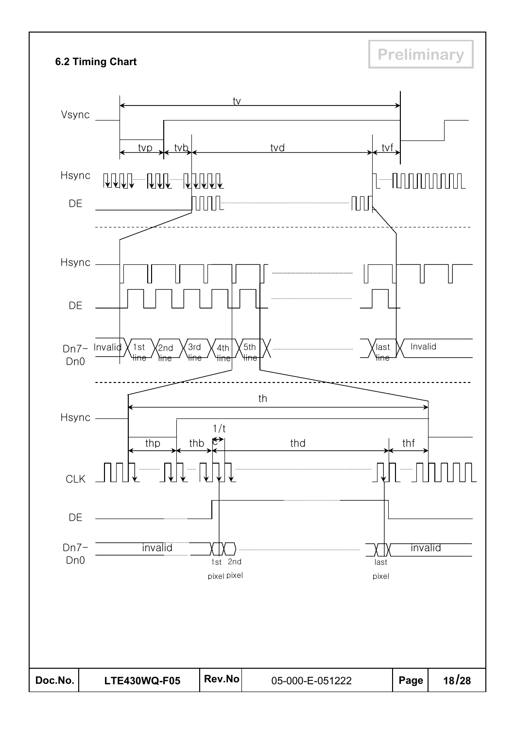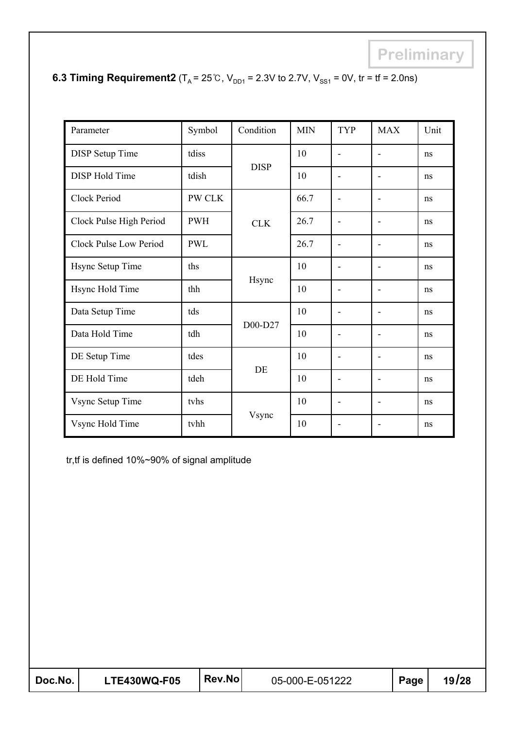| Parameter                     | Symbol     | Condition   | <b>MIN</b> | <b>TYP</b>                   | <b>MAX</b>               | Unit |
|-------------------------------|------------|-------------|------------|------------------------------|--------------------------|------|
| <b>DISP</b> Setup Time        | tdiss      |             | 10         | $\qquad \qquad \blacksquare$ | $\overline{a}$           | ns   |
| <b>DISP</b> Hold Time         | tdish      | <b>DISP</b> | 10         | $\overline{a}$               | $\overline{a}$           | ns   |
| Clock Period                  | PW CLK     |             | 66.7       | $\overline{\phantom{a}}$     | $\overline{\phantom{a}}$ | ns   |
| Clock Pulse High Period       | <b>PWH</b> | <b>CLK</b>  | 26.7       | $\overline{a}$               | $\overline{a}$           | ns   |
| <b>Clock Pulse Low Period</b> | <b>PWL</b> |             | 26.7       | $\qquad \qquad \blacksquare$ | -                        | ns   |
| Hsync Setup Time              | ths        |             | 10         | $\overline{\phantom{a}}$     | $\overline{\phantom{a}}$ | ns   |
| Hsync Hold Time               | thh        | Hsync       | 10         | $\overline{a}$               | -                        | ns   |
| Data Setup Time               | tds        |             | 10         | $\overline{a}$               | $\overline{a}$           | ns   |
| Data Hold Time                | tdh        | D00-D27     | 10         | $\overline{a}$               | $\overline{\phantom{a}}$ | ns   |
| DE Setup Time                 | tdes       |             | 10         | $\qquad \qquad \blacksquare$ | $\overline{a}$           | ns   |
| DE Hold Time                  | tdeh       | DE          | 10         | -                            |                          | ns   |
| Vsync Setup Time              | tyhs       |             | 10         | $\overline{a}$               | $\overline{a}$           | ns   |
| Vsync Hold Time               | tvhh       | Vsync       | 10         | $\blacksquare$               | -                        | ns   |

# **6.3 Timing Requirement2** ( $T_A = 25^\circ \text{C}$ ,  $V_{DD1} = 2.3 \text{V}$  to 2.7V,  $V_{SS1} = 0 \text{V}$ , tr = tf = 2.0ns)

tr,tf is defined 10%~90% of signal amplitude

| Doc.No. | <b>LTE430WQ-F05</b> | Rev.No | 05-000-E-051222 | Page | 19/28 |
|---------|---------------------|--------|-----------------|------|-------|
|---------|---------------------|--------|-----------------|------|-------|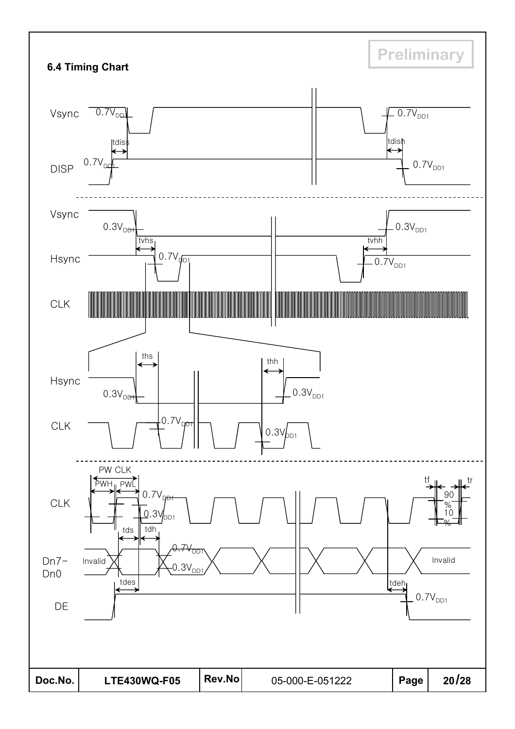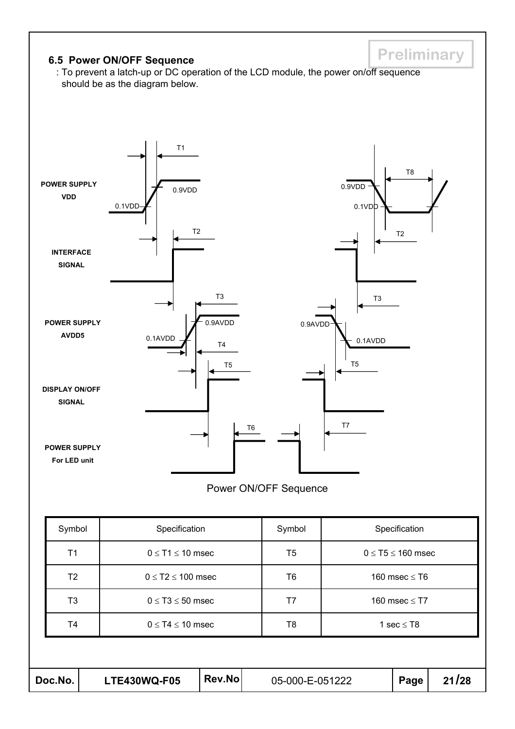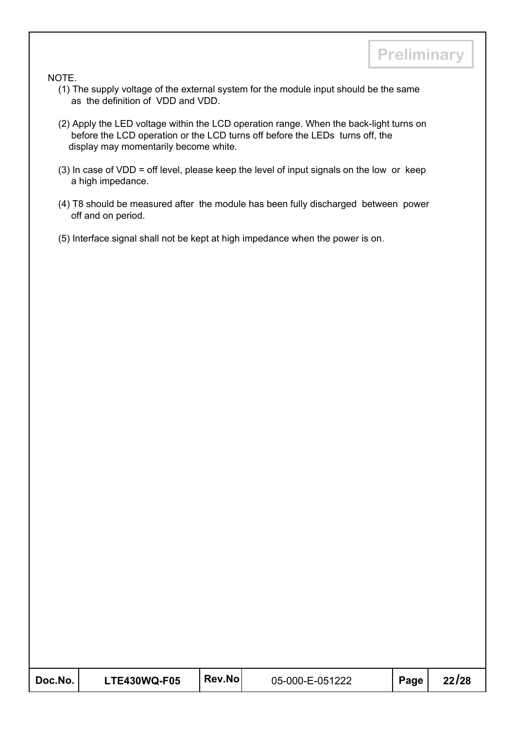NOTE.

- (1) The supply voltage of the external system for the module input should be the same as the definition of VDD and VDD.
- (2) Apply the LED voltage within the LCD operation range. When the back-light turns on before the LCD operation or the LCD turns off before the LEDs turns off, the display may momentarily become white.
- (3) In case of VDD = off level, please keep the level of input signals on the low or keep a high impedance.
- (4) T8 should be measured after the module has been fully discharged between power off and on period.
- (5) Interface signal shall not be kept at high impedance when the power is on.

| Doc.No. | <b>LTE430WQ-F05</b> | Rev.Nol | 05-000-E-051222 | Page | 22/28 |
|---------|---------------------|---------|-----------------|------|-------|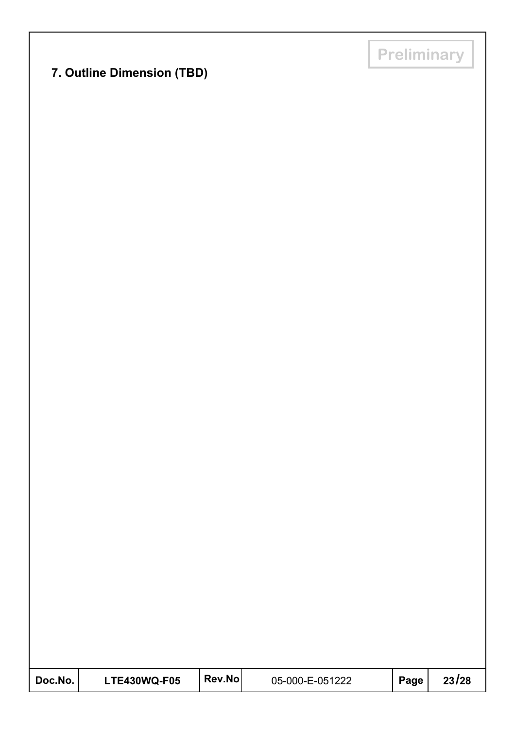# **7. Outline Dimension (TBD)**

| Doc.No. | <b>LTE430WQ-F05</b> | <b>ˈRev.No</b> ⊥ | 05-000-E-051222 | Page | 23/28 |
|---------|---------------------|------------------|-----------------|------|-------|
|---------|---------------------|------------------|-----------------|------|-------|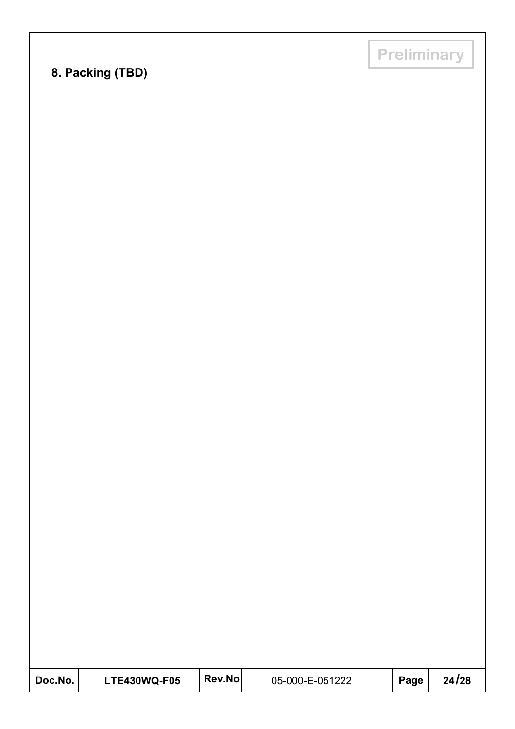# **8. Packing (TBD)**

**Preliminary**

| Doc.No. | <b>LTE430WQ-F05</b> | <b>Rev.Nol</b> | 05-000-E-051222 | Page | 24/28 |
|---------|---------------------|----------------|-----------------|------|-------|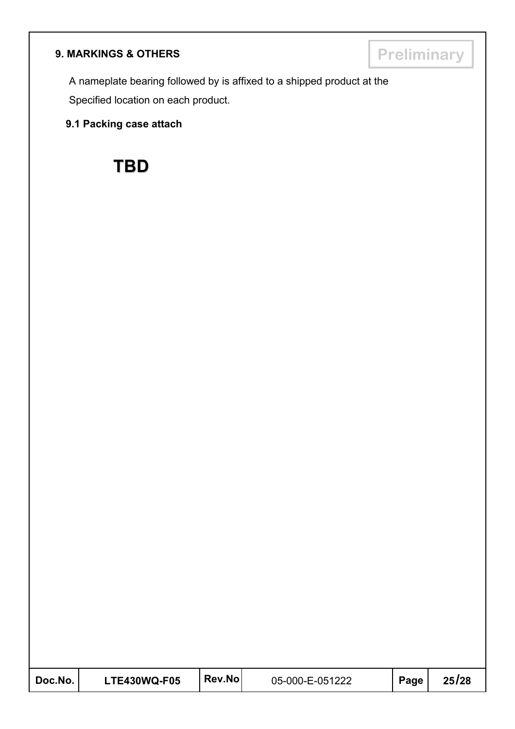# **9. MARKINGS & OTHERS Preliminary**

A nameplate bearing followed by is affixed to a shipped product at the Specified location on each product.

#### **9.1 Packing case attach**



| Doc.No. | <b>LTE430WQ-F05</b> | <b>Rev.Nol</b> | 05-000-E-051222 | Page | 25/28 |
|---------|---------------------|----------------|-----------------|------|-------|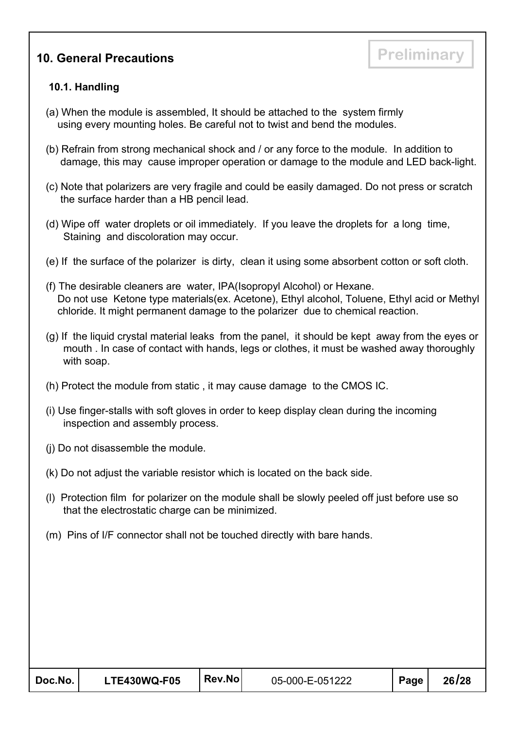# **10. General Precautions Preliminary**

#### **10.1. Handling**

- (a) When the module is assembled, It should be attached to the system firmly using every mounting holes. Be careful not to twist and bend the modules.
- (b) Refrain from strong mechanical shock and / or any force to the module. In addition to damage, this may cause improper operation or damage to the module and LED back-light.
- (c) Note that polarizers are very fragile and could be easily damaged. Do not press or scratch the surface harder than a HB pencil lead.
- (d) Wipe off water droplets or oil immediately. If you leave the droplets for a long time, Staining and discoloration may occur.
- (e) If the surface of the polarizer is dirty, clean it using some absorbent cotton or soft cloth.
- (f) The desirable cleaners are water, IPA(Isopropyl Alcohol) or Hexane. Do not use Ketone type materials(ex. Acetone), Ethyl alcohol, Toluene, Ethyl acid or Methyl chloride. It might permanent damage to the polarizer due to chemical reaction.
- (g) If the liquid crystal material leaks from the panel, it should be kept away from the eyes or mouth . In case of contact with hands, legs or clothes, it must be washed away thoroughly with soap.
- (h) Protect the module from static , it may cause damage to the CMOS IC.
- (i) Use finger-stalls with soft gloves in order to keep display clean during the incoming inspection and assembly process.
- (j) Do not disassemble the module.
- (k) Do not adjust the variable resistor which is located on the back side.
- (l) Protection film for polarizer on the module shall be slowly peeled off just before use so that the electrostatic charge can be minimized.
- (m) Pins of I/F connector shall not be touched directly with bare hands.

| Doc.No. | <b>LTE430WQ-F05</b> | Rev.No | 05-000-E-051222 | Page | 26/28 |
|---------|---------------------|--------|-----------------|------|-------|
|---------|---------------------|--------|-----------------|------|-------|